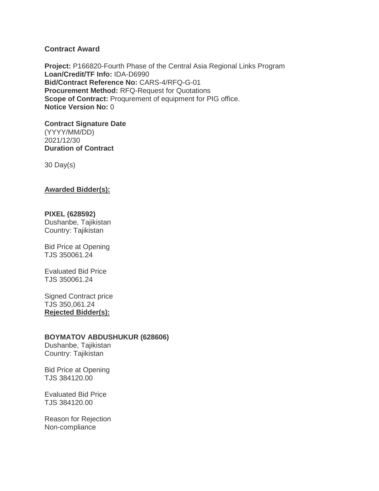# **Contract Award**

**Project:** P166820-Fourth Phase of the Central Asia Regional Links Program **Loan/Credit/TF Info:** IDA-D6990 **Bid/Contract Reference No:** CARS-4/RFQ-G-01 **Procurement Method:** RFQ-Request for Quotations **Scope of Contract:** Proqurement of equipment for PIG office. **Notice Version No:** 0

**Contract Signature Date** (YYYY/MM/DD) 2021/12/30 **Duration of Contract**

30 Day(s)

## **Awarded Bidder(s):**

### **PIXEL (628592)**

Dushanbe, Tajikistan Country: Tajikistan

Bid Price at Opening TJS 350061.24

Evaluated Bid Price TJS 350061.24

Signed Contract price TJS 350,061.24 **Rejected Bidder(s):**

### **BOYMATOV ABDUSHUKUR (628606)**

Dushanbe, Tajikistan Country: Tajikistan

Bid Price at Opening TJS 384120.00

Evaluated Bid Price TJS 384120.00

Reason for Rejection Non-compliance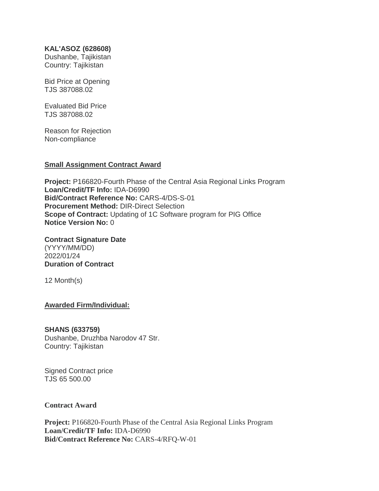## **KAL'ASOZ (628608)**

Dushanbe, Tajikistan Country: Tajikistan

Bid Price at Opening TJS 387088.02

Evaluated Bid Price TJS 387088.02

Reason for Rejection Non-compliance

## **Small Assignment Contract Award**

**Project:** P166820-Fourth Phase of the Central Asia Regional Links Program **Loan/Credit/TF Info:** IDA-D6990 **Bid/Contract Reference No:** CARS-4/DS-S-01 **Procurement Method:** DIR-Direct Selection **Scope of Contract:** Updating of 1C Software program for PIG Office **Notice Version No:** 0

**Contract Signature Date** (YYYY/MM/DD) 2022/01/24 **Duration of Contract**

12 Month(s)

**Awarded Firm/Individual:**

# **SHANS (633759)**

Dushanbe, Druzhba Narodov 47 Str. Country: Tajikistan

Signed Contract price TJS 65 500.00

# **Contract Award**

**Project:** P166820-Fourth Phase of the Central Asia Regional Links Program **Loan/Credit/TF Info:** IDA-D6990 **Bid/Contract Reference No:** CARS-4/RFQ-W-01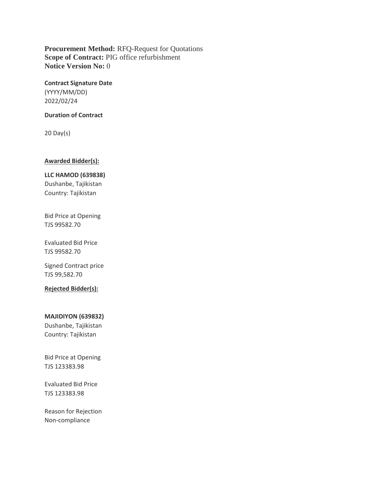**Procurement Method:** RFQ-Request for Quotations **Scope of Contract:** PIG office refurbishment **Notice Version No:** 0

**Contract Signature Date** (YYYY/MM/DD) 2022/02/24

#### **Duration of Contract**

20 Day(s)

## **Awarded Bidder(s):**

**LLC HAMOD (639838)** Dushanbe, Tajikistan Country: Tajikistan

Bid Price at Opening TJS 99582.70

Evaluated Bid Price TJS 99582.70

Signed Contract price TJS 99,582.70

**Rejected Bidder(s):**

### **MAJIDIYON (639832)**

Dushanbe, Tajikistan Country: Tajikistan

Bid Price at Opening TJS 123383.98

Evaluated Bid Price TJS 123383.98

Reason for Rejection Non-compliance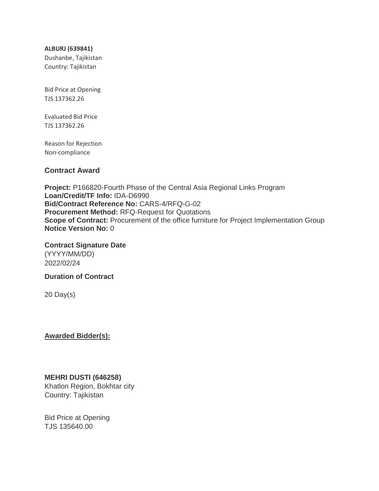**ALBURJ (639841)**

Dushanbe, Tajikistan Country: Tajikistan

Bid Price at Opening TJS 137362.26

Evaluated Bid Price TJS 137362.26

Reason for Rejection Non-compliance

# **Contract Award**

**Project:** P166820-Fourth Phase of the Central Asia Regional Links Program **Loan/Credit/TF Info:** IDA-D6990 **Bid/Contract Reference No:** CARS-4/RFQ-G-02 **Procurement Method:** RFQ-Request for Quotations **Scope of Contract:** Procurement of the office furniture for Project Implementation Group **Notice Version No:** 0

**Contract Signature Date** (YYYY/MM/DD) 2022/02/24

**Duration of Contract**

20 Day(s)

**Awarded Bidder(s):**

# **MEHRI DUSTI (646258)**

Khatlon Region, Bokhtar city Country: Tajikistan

Bid Price at Opening TJS 135640.00